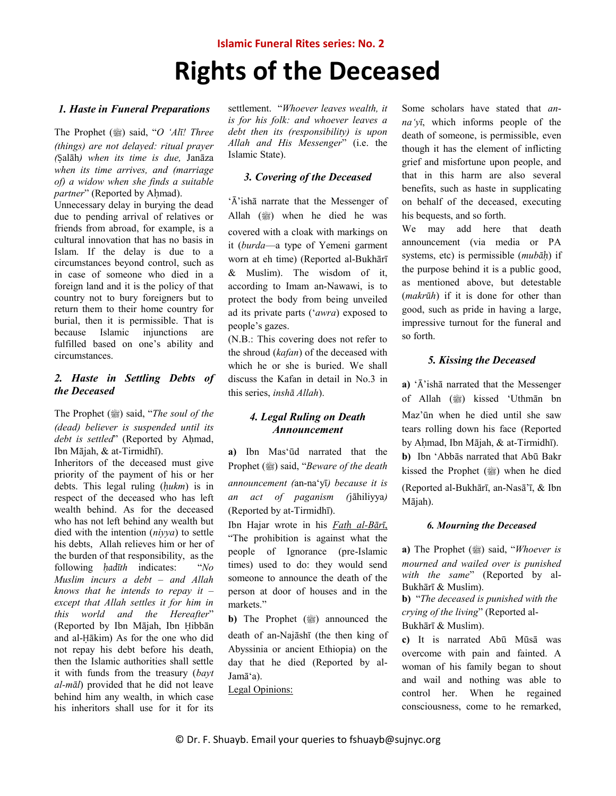### **Islamic Funeral Rites series: No. 2**

# **Rights of the Deceased**

#### *1. Haste in Funeral Preparations*

The Prophet (3) said, "O 'Alī! Three *(things) are not delayed: ritual prayer (*Ṣalāh*) when its time is due,* Janāza *when its time arrives, and (marriage of) a widow when she finds a suitable partner*" (Reported by Ahmad).

Unnecessary delay in burying the dead due to pending arrival of relatives or friends from abroad, for example, is a cultural innovation that has no basis in Islam. If the delay is due to a circumstances beyond control, such as in case of someone who died in a foreign land and it is the policy of that country not to bury foreigners but to return them to their home country for burial, then it is permissible. That is because Islamic injunctions are fulfilled based on one's ability and circumstances.

### *2. Haste in Settling Debts of the Deceased*

The Prophet (صلى الله عليه وسلم (said, "*The soul of the (dead) believer is suspended until its debt is settled*" (Reported by Aḥmad, Ibn Mājah, & at-Tirmidhī).

Inheritors of the deceased must give priority of the payment of his or her debts. This legal ruling (*ḥukm*) is in respect of the deceased who has left wealth behind. As for the deceased who has not left behind any wealth but died with the intention (*niyya*) to settle his debts, Allah relieves him or her of the burden of that responsibility, as the following *ḥadīth* indicates: "*No Muslim incurs a debt – and Allah knows that he intends to repay it – except that Allah settles it for him in this world and the Hereafter*" (Reported by Ibn Mājah, Ibn Ḥibbān and al-Ḥākim) As for the one who did not repay his debt before his death, then the Islamic authorities shall settle it with funds from the treasury (*bayt al-māl*) provided that he did not leave behind him any wealth, in which case his inheritors shall use for it for its

settlement. "*Whoever leaves wealth, it is for his folk: and whoever leaves a debt then its (responsibility) is upon Allah and His Messenger*" (i.e. the Islamic State).

### *3. Covering of the Deceased*

'Ā'ishā narrate that the Messenger of Allah ( ) when he died he was covered with a cloak with markings on it (*burda*—a type of Yemeni garment worn at eh time) (Reported al-Bukhārī & Muslim). The wisdom of it, according to Imam an-Nawawi, is to protect the body from being unveiled ad its private parts ('*awra*) exposed to people's gazes.

(N.B.: This covering does not refer to the shroud (*kafan*) of the deceased with which he or she is buried. We shall discuss the Kafan in detail in No.3 in this series, *inshā Allah*).

### *4. Legal Ruling on Death Announcement*

**a)** Ibn Mas'ūd narrated that the *Prophet (* $\circledast$ *) said, "Beware of the death announcement (*an-na'yī*) because it is an act of paganism (*jāhiliyya*)* (Reported by at-Tirmidhī).

Ibn Hajar wrote in his *Fatḥ al-Bārī*, "The prohibition is against what the people of Ignorance (pre-Islamic times) used to do: they would send someone to announce the death of the person at door of houses and in the markets."

**b**) The Prophet (  $\frac{400}{200}$  announced the death of an-Najāshī (the then king of Abyssinia or ancient Ethiopia) on the day that he died (Reported by al-Jamā'a).

Legal Opinions:

Some scholars have stated that *anna'yī*, which informs people of the death of someone, is permissible, even though it has the element of inflicting grief and misfortune upon people, and that in this harm are also several benefits, such as haste in supplicating on behalf of the deceased, executing his bequests, and so forth.

We may add here that death announcement (via media or PA systems, etc) is permissible (*mubāḥ*) if the purpose behind it is a public good, as mentioned above, but detestable (*makrūh*) if it is done for other than good, such as pride in having a large, impressive turnout for the funeral and so forth.

### *5. Kissing the Deceased*

**a)** 'Ā'ishā narrated that the Messenger of Allah (ﷺ) kissed 'Uthmān bn Maz'ūn when he died until she saw tears rolling down his face (Reported by Aḥmad, Ibn Mājah, & at-Tirmidhī). **b)** Ibn 'Abbās narrated that Abū Bakr kissed the Prophet (@) when he died (Reported al-Bukhārī, an-Nasā'ī, & Ibn Mājah).

### *6. Mourning the Deceased*

**a)** The Prophet (ﷺ) said, "*Whoever is mourned and wailed over is punished with the same*" (Reported by al-Bukhārī & Muslim).

**b)** "*The deceased is punished with the crying of the living*" (Reported al-Bukhārī & Muslim).

**c)** It is narrated Abū Mūsā was overcome with pain and fainted. A woman of his family began to shout and wail and nothing was able to control her. When he regained consciousness, come to he remarked,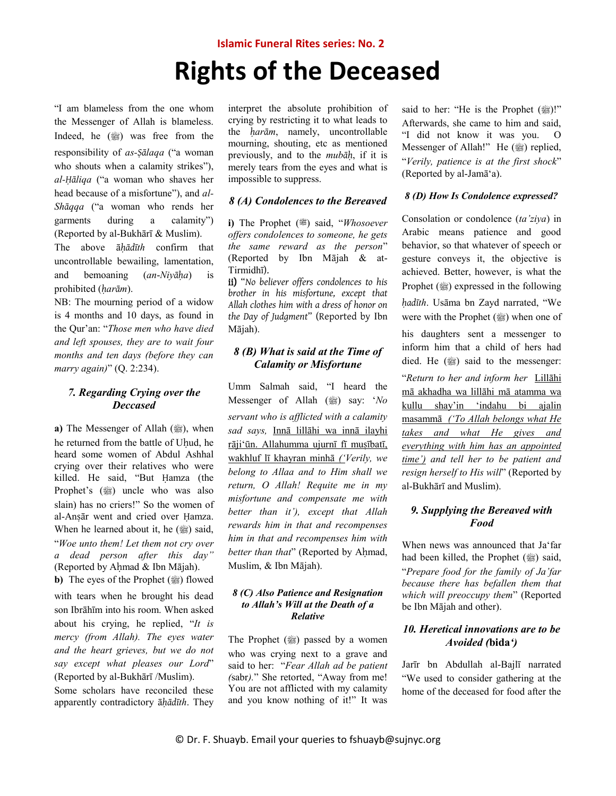### **Islamic Funeral Rites series: No. 2**

# **Rights of the Deceased**

"I am blameless from the one whom the Messenger of Allah is blameless. Indeed, he  $(\frac{m}{2})$  was free from the responsibility of *as-Ṣālaqa* ("a woman who shouts when a calamity strikes"), *al-Ḥāliqa* ("a woman who shaves her head because of a misfortune"), and *al-Shāqqa* ("a woman who rends her garments during a calamity") (Reported by al-Bukhārī & Muslim).

The above ā*ḥādīth* confirm that uncontrollable bewailing, lamentation, and bemoaning (*an*-*Niyāḥa*) is prohibited (*ḥarām*).

NB: The mourning period of a widow is 4 months and 10 days, as found in the Qur'an: "*Those men who have died and left spouses, they are to wait four months and ten days (before they can marry again)*" (Q. 2:234).

# *7. Regarding Crying over the Deccased*

**a**) The Messenger of Allah (1), when he returned from the battle of Uhud, he heard some women of Abdul Ashhal crying over their relatives who were killed. He said, "But Ḥamza (the Prophet's (1) uncle who was also slain) has no criers!" So the women of al-Anṣār went and cried over Ḥamza. When he learned about it, he  $(\frac{36}{20})$  said, "*Woe unto them! Let them not cry over a dead person after this day"*  (Reported by Aḥmad & Ibn Mājah).

**b**) The eyes of the Prophet ( $\circledast$ ) flowed with tears when he brought his dead son Ibrāhīm into his room. When asked about his crying, he replied, "*It is mercy (from Allah). The eyes water and the heart grieves, but we do not say except what pleases our Lord*" (Reported by al-Bukhārī /Muslim). Some scholars have reconciled these

apparently contradictory ā*ḥādīth*. They

interpret the absolute prohibition of crying by restricting it to what leads to the *ḥarām*, namely, uncontrollable mourning, shouting, etc as mentioned previously, and to the *mubāḥ*, if it is merely tears from the eyes and what is impossible to suppress.

### *8 (A) Condolences to the Bereaved*

**i)** The Prophet ( $\ddot{=}$ ) said, "*Whosoever offers condolences to someone, he gets the same reward as the person*" (Reported by Ibn Mājah & at-Tirmidhī).

ii) "*No believer offers condolences to his brother in his misfortune, except that Allah clothes him with a dress of honor on the Day of Judgment*" (Reported by Ibn Mājah).

## *8 (B) What is said at the Time of Calamity or Misfortune*

Umm Salmah said, "I heard the *Messenger of Allah* (1) say: '*No servant who is afflicted with a calamity sad says,* Innā lillāhi wa innā ilayhi rāji'ūn. Allahumma ujurnī fī musībatī, wakhluf lī khayran minhā *('Verily, we belong to Allaa and to Him shall we return, O Allah! Requite me in my misfortune and compensate me with better than it'), except that Allah rewards him in that and recompenses him in that and recompenses him with better than that*" (Reported by Aḥmad, Muslim, & Ibn Mājah).

### *8 (C) Also Patience and Resignation to Allah's Will at the Death of a Relative*

The Prophet (ﷺ) passed by a women who was crying next to a grave and said to her: "*Fear Allah ad be patient (*sabr*).*" She retorted, "Away from me! You are not afflicted with my calamity and you know nothing of it!" It was said to her: "He is the Prophet (
<sup>20</sup>)!" Afterwards, she came to him and said, "I did not know it was you. O Messenger of Allah!" He (2) replied, "*Verily, patience is at the first shock*" (Reported by al-Jamā'a).

### *8 (D) How Is Condolence expressed?*

Consolation or condolence (*ta'ziya*) in Arabic means patience and good behavior, so that whatever of speech or gesture conveys it, the objective is achieved. Better, however, is what the Prophet ( $\circled{m}$ ) expressed in the following *ḥadīth*. Usāma bn Zayd narrated, "We were with the Prophet ( $\frac{dy}{dx}$ ) when one of his daughters sent a messenger to inform him that a child of hers had died. He  $(\frac{36}{20})$  said to the messenger: "*Return to her and inform her* Lillāhi mā akhadha wa lillāhi mā atamma wa kullu shay'in 'indahu bi ajalin masammā *('To Allah belongs what He* 

*takes and what He gives and everything with him has an appointed time') and tell her to be patient and resign herself to His will*" (Reported by al-Bukhārī and Muslim).

## *9. Supplying the Bereaved with Food*

When news was announced that Ja'far had been killed, the Prophet (ﷺ) said, "*Prepare food for the family of Ja'far because there has befallen them that which will preoccupy them*" (Reported be Ibn Mājah and other).

### *10. Heretical innovations are to be Avoided (***bida***')*

Jarīr bn Abdullah al-Bajlī narrated "We used to consider gathering at the home of the deceased for food after the